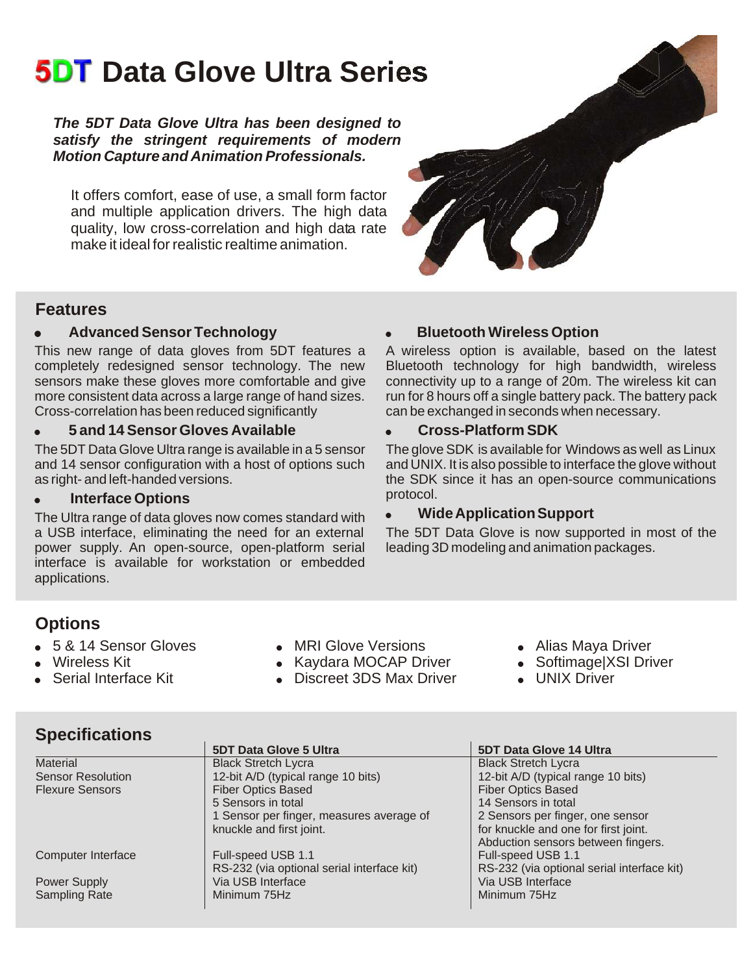# **5DT Data Glove Ultra Series**

*The 5DT Data Glove Ultra has been designed to satisfy the stringent requirements of modern Motion Capture and Animation Professionals.*

It offers comfort, ease of use, a small form factor and multiple application drivers. The high data quality, low cross-correlation and high data rate make it ideal for realistic realtime animation.



### **Features**

### **• Advanced Sensor Technology by Bluetooth Wireless Option**

This new range of data gloves from 5DT features a A wireless option is available, based on the latest completely redesigned sensor technology. The new Bluetooth technology for high bandwidth, wireless completely redesigned sensor technology. The new sensors make these gloves more comfortable and give more consistent data across a large range of hand sizes. run for 8 hours off a single battery pack. The battery pack<br>Cross-correlation has been reduced significantly can be exchanged in seconds when necessary.

### ! **5 and 14 Sensor Gloves Available** ! **Cross-Platform SDK**

The 5DT Data Glove Ultra range is available in a 5 sensor The glove SDK is available for Windows as well as Linux and 14 sensor configuration with a host of options such and UNIX. It is also possible to interface the glove without as right- and left-handed versions. the SDK since it has an open-source communications

**Interface Options**<br>Itra range of data gloves now comes standard with **Communist Constitute Application Support** The Ultra range of data gloves now comes standard with a USB interface, eliminating the need for an external power supply. An open-source, open-platform serial interface is available for workstation or embedded applications.

connectivity up to a range of 20m. The wireless kit can can be exchanged in seconds when necessary.

The 5DT Data Glove is now supported in most of the leading 3D modeling and animation packages.

### **Options**

- 
- 
- 

**Specifications**

- 5 & 14 Sensor Gloves **. In Alias Maya Driver**<br>  **Kaydara MOCAP Driver Softimage XSI Driver**<br>
 Softimage XSI Driver Kaydara MOCAP Driver Softimage XSI Driver
	-
- Kaydara MOCAP Driver Softimage|X<br>• Discreet 3DS Max Driver UNIX Driver Serial Interface Kit . Discreet 3DS Max Driver
- -
	-

|                          | <b>5DT Data Glove 5 Ultra</b>              | <b>5DT Data Glove 14 Ultra</b>             |
|--------------------------|--------------------------------------------|--------------------------------------------|
| Material                 | <b>Black Stretch Lycra</b>                 | <b>Black Stretch Lycra</b>                 |
| <b>Sensor Resolution</b> | 12-bit A/D (typical range 10 bits)         | 12-bit A/D (typical range 10 bits)         |
| <b>Flexure Sensors</b>   | <b>Fiber Optics Based</b>                  | <b>Fiber Optics Based</b>                  |
|                          | 5 Sensors in total                         | 14 Sensors in total                        |
|                          | 1 Sensor per finger, measures average of   | 2 Sensors per finger, one sensor           |
|                          | knuckle and first joint.                   | for knuckle and one for first joint.       |
|                          |                                            | Abduction sensors between fingers.         |
| Computer Interface       | Full-speed USB 1.1                         | Full-speed USB 1.1                         |
|                          | RS-232 (via optional serial interface kit) | RS-232 (via optional serial interface kit) |
| <b>Power Supply</b>      | Via USB Interface                          | Via USB Interface                          |
| <b>Sampling Rate</b>     | Minimum 75Hz                               | Minimum 75Hz                               |